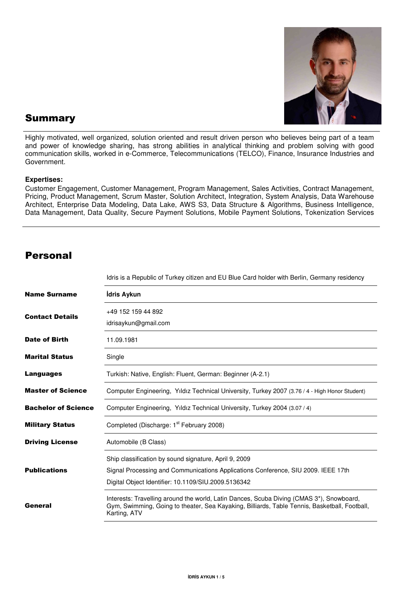

### Summary

Highly motivated, well organized, solution oriented and result driven person who believes being part of a team and power of knowledge sharing, has strong abilities in analytical thinking and problem solving with good communication skills, worked in e-Commerce, Telecommunications (TELCO), Finance, Insurance Industries and Government.

#### **Expertises:**

Customer Engagement, Customer Management, Program Management, Sales Activities, Contract Management, Pricing, Product Management, Scrum Master, Solution Architect, Integration, System Analysis, Data Warehouse Architect, Enterprise Data Modeling, Data Lake, AWS S3, Data Structure & Algorithms, Business Intelligence, Data Management, Data Quality, Secure Payment Solutions, Mobile Payment Solutions, Tokenization Services

#### Personal

|                            | Idris is a Republic of Turkey citizen and EU Blue Card holder with Berlin, Germany residency                                                                                                              |  |  |
|----------------------------|-----------------------------------------------------------------------------------------------------------------------------------------------------------------------------------------------------------|--|--|
| <b>Name Surname</b>        | İdris Aykun                                                                                                                                                                                               |  |  |
| <b>Contact Details</b>     | +49 152 159 44 892<br>idrisaykun@gmail.com                                                                                                                                                                |  |  |
| <b>Date of Birth</b>       | 11.09.1981                                                                                                                                                                                                |  |  |
| <b>Marital Status</b>      | Single                                                                                                                                                                                                    |  |  |
| Languages                  | Turkish: Native, English: Fluent, German: Beginner (A-2.1)                                                                                                                                                |  |  |
| <b>Master of Science</b>   | Computer Engineering, Yıldız Technical University, Turkey 2007 (3.76 / 4 - High Honor Student)                                                                                                            |  |  |
| <b>Bachelor of Science</b> | Computer Engineering, Yıldız Technical University, Turkey 2004 (3.07 / 4)                                                                                                                                 |  |  |
| <b>Military Status</b>     | Completed (Discharge: 1 <sup>st</sup> February 2008)                                                                                                                                                      |  |  |
| <b>Driving License</b>     | Automobile (B Class)                                                                                                                                                                                      |  |  |
| <b>Publications</b>        | Ship classification by sound signature, April 9, 2009<br>Signal Processing and Communications Applications Conference, SIU 2009. IEEE 17th<br>Digital Object Identifier: 10.1109/SIU.2009.5136342         |  |  |
| General                    | Interests: Travelling around the world, Latin Dances, Scuba Diving (CMAS 3*), Snowboard,<br>Gym, Swimming, Going to theater, Sea Kayaking, Billiards, Table Tennis, Basketball, Football,<br>Karting, ATV |  |  |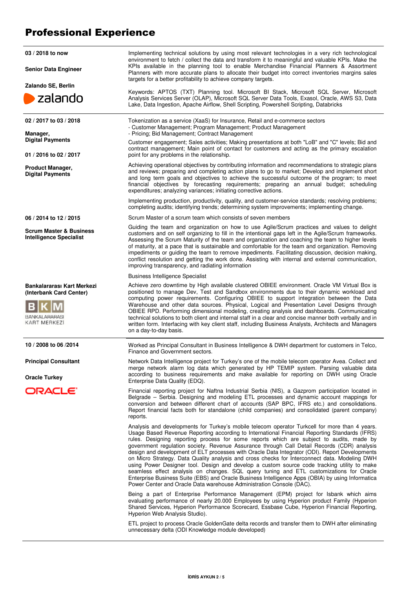## Professional Experience

| 03 / 2018 to now<br><b>Senior Data Engineer</b><br>Zalando SE, Berlin                  | Implementing technical solutions by using most relevant technologies in a very rich technological<br>environment to fetch / collect the data and transform it to meaningful and valuable KPIs. Make the<br>KPIs available in the planning tool to enable Merchandise Financial Planners & Assortment<br>Planners with more accurate plans to allocate their budget into correct inventories margins sales<br>targets for a better profitability to achieve company targets.                                                                                                                                                                                                                                                                                                                                                                                                                                                                                          |  |  |
|----------------------------------------------------------------------------------------|----------------------------------------------------------------------------------------------------------------------------------------------------------------------------------------------------------------------------------------------------------------------------------------------------------------------------------------------------------------------------------------------------------------------------------------------------------------------------------------------------------------------------------------------------------------------------------------------------------------------------------------------------------------------------------------------------------------------------------------------------------------------------------------------------------------------------------------------------------------------------------------------------------------------------------------------------------------------|--|--|
| zalando                                                                                | Keywords: APTOS (TXT) Planning tool. Microsoft BI Stack, Microsoft SQL Server, Microsoft<br>Analysis Services Server (OLAP), Microsoft SQL Server Data Tools, Exasol, Oracle, AWS S3, Data<br>Lake, Data Ingestion, Apache Airflow, Shell Scripting, Powershell Scripting, Databricks                                                                                                                                                                                                                                                                                                                                                                                                                                                                                                                                                                                                                                                                                |  |  |
| 02 / 2017 to 03 / 2018<br>Manager,<br><b>Digital Payments</b>                          | Tokenization as a service (XaaS) for Insurance, Retail and e-commerce sectors<br>- Customer Management; Program Management; Product Management<br>- Pricing; Bid Management; Contract Management                                                                                                                                                                                                                                                                                                                                                                                                                                                                                                                                                                                                                                                                                                                                                                     |  |  |
| 01 / 2016 to 02 / 2017                                                                 | Customer engagement; Sales activities; Making presentations at both "LoB" and "C" levels; Bid and<br>contract management; Main point of contact for customers and acting as the primary escalation<br>point for any problems in the relationship.                                                                                                                                                                                                                                                                                                                                                                                                                                                                                                                                                                                                                                                                                                                    |  |  |
| Product Manager,<br><b>Digital Payments</b>                                            | Achieving operational objectives by contributing information and recommendations to strategic plans<br>and reviews; preparing and completing action plans to go to market; Develop and implement short<br>and long term goals and objectives to achieve the successful outcome of the program; to meet<br>financial objectives by forecasting requirements; preparing an annual budget; scheduling<br>expenditures; analyzing variances; initiating corrective actions.                                                                                                                                                                                                                                                                                                                                                                                                                                                                                              |  |  |
|                                                                                        | Implementing production, productivity, quality, and customer-service standards; resolving problems;<br>completing audits; identifying trends; determining system improvements; implementing change.                                                                                                                                                                                                                                                                                                                                                                                                                                                                                                                                                                                                                                                                                                                                                                  |  |  |
| 06 / 2014 to 12 / 2015                                                                 | Scrum Master of a scrum team which consists of seven members                                                                                                                                                                                                                                                                                                                                                                                                                                                                                                                                                                                                                                                                                                                                                                                                                                                                                                         |  |  |
| <b>Scrum Master &amp; Business</b><br><b>Intelligence Specialist</b>                   | Guiding the team and organization on how to use Agile/Scrum practices and values to delight<br>customers and on self organizing to fill in the intentional gaps left in the Agile/Scrum frameworks.<br>Assessing the Scrum Maturity of the team and organization and coaching the team to higher levels<br>of maturity, at a pace that is sustainable and comfortable for the team and organization. Removing<br>impediments or guiding the team to remove impediments. Facilitating discussion, decision making,<br>conflict resolution and getting the work done. Assisting with internal and external communication,<br>improving transparency, and radiating information                                                                                                                                                                                                                                                                                         |  |  |
|                                                                                        | <b>Business Intelligence Specialist</b>                                                                                                                                                                                                                                                                                                                                                                                                                                                                                                                                                                                                                                                                                                                                                                                                                                                                                                                              |  |  |
| Bankalararası Kart Merkezi<br>(Interbank Card Center)<br>BANKALARARASI<br>KART MERKEZI | Achieve zero downtime by High available clustered OBIEE environment. Oracle VM Virtual Box is<br>positioned to manage Dev, Test and Sandbox environments due to their dynamic workload and<br>computing power requirements. Configuring OBIEE to support integration between the Data<br>Warehouse and other data sources. Physical, Logical and Presentation Level Designs through<br>OBIEE RPD. Performing dimensional modeling, creating analysis and dashboards. Communicating<br>technical solutions to both client and internal staff in a clear and concise manner both verbally and in<br>written form. Interfacing with key client staff, including Business Analysts, Architects and Managers<br>on a day-to-day basis.                                                                                                                                                                                                                                    |  |  |
| 10 / 2008 to 06 / 2014                                                                 | Worked as Principal Consultant in Business Intelligence & DWH department for customers in Telco,<br>Finance and Government sectors.                                                                                                                                                                                                                                                                                                                                                                                                                                                                                                                                                                                                                                                                                                                                                                                                                                  |  |  |
| <b>Principal Consultant</b><br><b>Oracle Turkey</b>                                    | Network Data Intelligence project for Turkey's one of the mobile telecom operator Avea. Collect and<br>merge network alarm log data which generated by HP TEMIP system. Parsing valuable data<br>according to business requirements and make available for reporting on DWH using Oracle<br>Enterprise Data Quality (EDQ).                                                                                                                                                                                                                                                                                                                                                                                                                                                                                                                                                                                                                                           |  |  |
| ORACLE <sup>®</sup>                                                                    | Financial reporting project for Naftna Industrial Serbia (NIS), a Gazprom participation located in<br>Belgrade – Serbia. Designing and modeling ETL processes and dynamic account mappings for<br>conversion and between different chart of accounts (SAP BPC, IFRS etc.) and consolidations.<br>Report financial facts both for standalone (child companies) and consolidated (parent company)<br>reports.                                                                                                                                                                                                                                                                                                                                                                                                                                                                                                                                                          |  |  |
|                                                                                        | Analysis and developments for Turkey's mobile telecom operator Turkcell for more than 4 years.<br>Usage Based Revenue Reporting according to International Financial Reporting Standards (IFRS)<br>rules. Designing reporting process for some reports which are subject to audits, made by<br>government regulation society. Revenue Assurance through Call Detail Records (CDR) analysis<br>design and development of ELT processes with Oracle Data Integrator (ODI). Report Developments<br>on Micro Strategy. Data Quality analysis and cross checks for Interconnect data. Modeling DWH<br>using Power Designer tool. Design and develop a custom source code tracking utility to make<br>seamless effect analysis on changes. SQL query tuning and ETL customizations for Oracle<br>Enterprise Business Suite (EBS) and Oracle Business Intelligence Apps (OBIA) by using Informatica<br>Power Center and Oracle Data warehouse Administration Console (DAC). |  |  |
|                                                                                        | Being a part of Enterprise Performance Management (EPM) project for Isbank which aims<br>evaluating performance of nearly 20.000 Employees by using Hyperion product Family (Hyperion<br>Shared Services, Hyperion Performance Scorecard, Essbase Cube, Hyperion Financial Reporting,<br>Hyperion Web Analysis Studio).                                                                                                                                                                                                                                                                                                                                                                                                                                                                                                                                                                                                                                              |  |  |
|                                                                                        | ETL project to process Oracle GoldenGate delta records and transfer them to DWH after eliminating<br>unnecessary delta (ODI Knowledge module developed)                                                                                                                                                                                                                                                                                                                                                                                                                                                                                                                                                                                                                                                                                                                                                                                                              |  |  |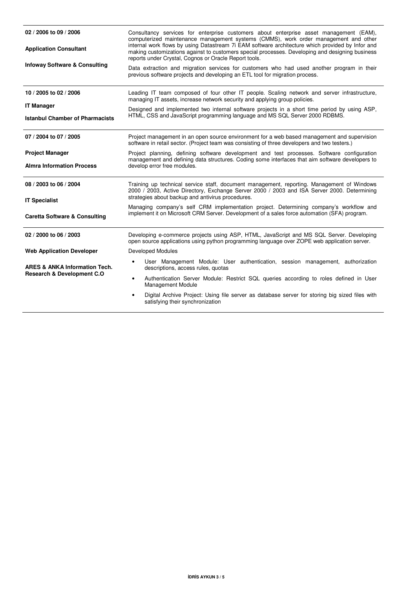| 02 / 2006 to 09 / 2006                                      | Consultancy services for enterprise customers about enterprise asset management (EAM),<br>computerized maintenance management systems (CMMS), work order management and other                                                                                                                                                                             |  |  |
|-------------------------------------------------------------|-----------------------------------------------------------------------------------------------------------------------------------------------------------------------------------------------------------------------------------------------------------------------------------------------------------------------------------------------------------|--|--|
| <b>Application Consultant</b>                               | internal work flows by using Datastream 7i EAM software architecture which provided by Infor and<br>making customizations against to customers special processes. Developing and designing business<br>reports under Crystal, Cognos or Oracle Report tools.                                                                                              |  |  |
| <b>Infoway Software &amp; Consulting</b>                    | Data extraction and migration services for customers who had used another program in their<br>previous software projects and developing an ETL tool for migration process.                                                                                                                                                                                |  |  |
| 10 / 2005 to 02 / 2006                                      | Leading IT team composed of four other IT people. Scaling network and server infrastructure,<br>managing IT assets, increase network security and applying group policies.<br>Designed and implemented two internal software projects in a short time period by using ASP,<br>HTML, CSS and JavaScript programming language and MS SQL Server 2000 RDBMS. |  |  |
| <b>IT Manager</b><br><b>Istanbul Chamber of Pharmacists</b> |                                                                                                                                                                                                                                                                                                                                                           |  |  |
| 07 / 2004 to 07 / 2005                                      | Project management in an open source environment for a web based management and supervision<br>software in retail sector. (Project team was consisting of three developers and two testers.)                                                                                                                                                              |  |  |
| <b>Project Manager</b>                                      | Project planning, defining software development and test processes. Software configuration                                                                                                                                                                                                                                                                |  |  |
| <b>Almra Information Process</b>                            | management and defining data structures. Coding some interfaces that aim software developers to<br>develop error free modules.                                                                                                                                                                                                                            |  |  |
| 08 / 2003 to 06 / 2004<br><b>IT Specialist</b>              | Training up technical service staff, document management, reporting. Management of Windows<br>2000 / 2003, Active Directory, Exchange Server 2000 / 2003 and ISA Server 2000. Determining<br>strategies about backup and antivirus procedures.                                                                                                            |  |  |
| <b>Caretta Software &amp; Consulting</b>                    | Managing company's self CRM implementation project. Determining company's workflow and<br>implement it on Microsoft CRM Server. Development of a sales force automation (SFA) program.                                                                                                                                                                    |  |  |
| 02 / 2000 to 06 / 2003                                      | Developing e-commerce projects using ASP, HTML, JavaScript and MS SQL Server. Developing<br>open source applications using python programming language over ZOPE web application server.                                                                                                                                                                  |  |  |
| <b>Web Application Developer</b>                            | <b>Developed Modules</b>                                                                                                                                                                                                                                                                                                                                  |  |  |
| <b>ARES &amp; ANKA Information Tech.</b>                    | User Management Module: User authentication, session management, authorization<br>descriptions, access rules, quotas                                                                                                                                                                                                                                      |  |  |
| <b>Research &amp; Development C.O</b>                       | Authentication Server Module: Restrict SQL queries according to roles defined in User<br>$\bullet$<br><b>Management Module</b>                                                                                                                                                                                                                            |  |  |
|                                                             | Digital Archive Project: Using file server as database server for storing big sized files with                                                                                                                                                                                                                                                            |  |  |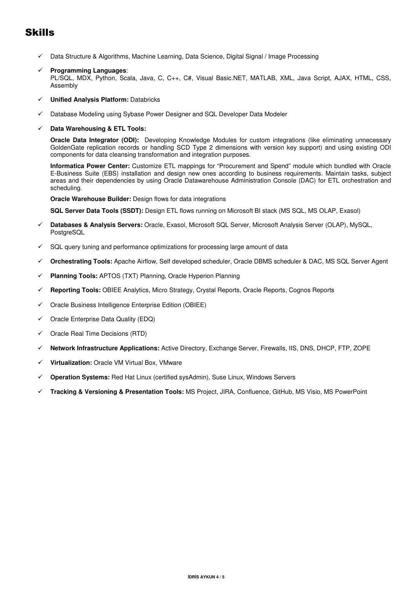## Skills

- Data Structure & Algorithms, Machine Learning, Data Science, Digital Signal / Image Processing
- **Programming Languages**: PL/SQL, MDX, Python, Scala, Java, C, C++, C#, Visual Basic.NET, MATLAB, XML, Java Script, AJAX, HTML, CSS, Assembly
- **Unified Analysis Platform:** Databricks
- Database Modeling using Sybase Power Designer and SQL Developer Data Modeler
- **Data Warehousing & ETL Tools:**

**Oracle Data Integrator (ODI):** Developing Knowledge Modules for custom integrations (like eliminating unnecessary GoldenGate replication records or handling SCD Type 2 dimensions with version key support) and using existing ODI components for data cleansing transformation and integration purposes.

**Informatica Power Center:** Customize ETL mappings for "Procurement and Spend" module which bundled with Oracle E-Business Suite (EBS) installation and design new ones according to business requirements. Maintain tasks, subject areas and their dependencies by using Oracle Datawarehouse Administration Console (DAC) for ETL orchestration and scheduling.

**Oracle Warehouse Builder:** Design flows for data integrations

**SQL Server Data Tools (SSDT):** Design ETL flows running on Microsoft BI stack (MS SQL, MS OLAP, Exasol)

- **Databases & Analysis Servers:** Oracle, Exasol, Microsoft SQL Server, Microsoft Analysis Server (OLAP), MySQL, PostgreSQL
- SQL query tuning and performance optimizations for processing large amount of data
- **Orchestrating Tools:** Apache Airflow, Self developed scheduler, Oracle DBMS scheduler & DAC, MS SQL Server Agent
- **Planning Tools:** APTOS (TXT) Planning, Oracle Hyperion Planning
- **Reporting Tools:** OBIEE Analytics, Micro Strategy, Crystal Reports, Oracle Reports, Cognos Reports
- $\checkmark$  Oracle Business Intelligence Enterprise Edition (OBIEE)
- $\checkmark$  Oracle Enterprise Data Quality (EDQ)
- $\checkmark$  Oracle Real Time Decisions (RTD)
- **Network Infrastructure Applications:** Active Directory, Exchange Server, Firewalls, IIS, DNS, DHCP, FTP, ZOPE
- **Virtualization:** Oracle VM Virtual Box, VMware
- **Operation Systems:** Red Hat Linux (certified sysAdmin), Suse Linux, Windows Servers
- **Tracking & Versioning & Presentation Tools:** MS Project, JIRA, Confluence, GitHub, MS Visio, MS PowerPoint